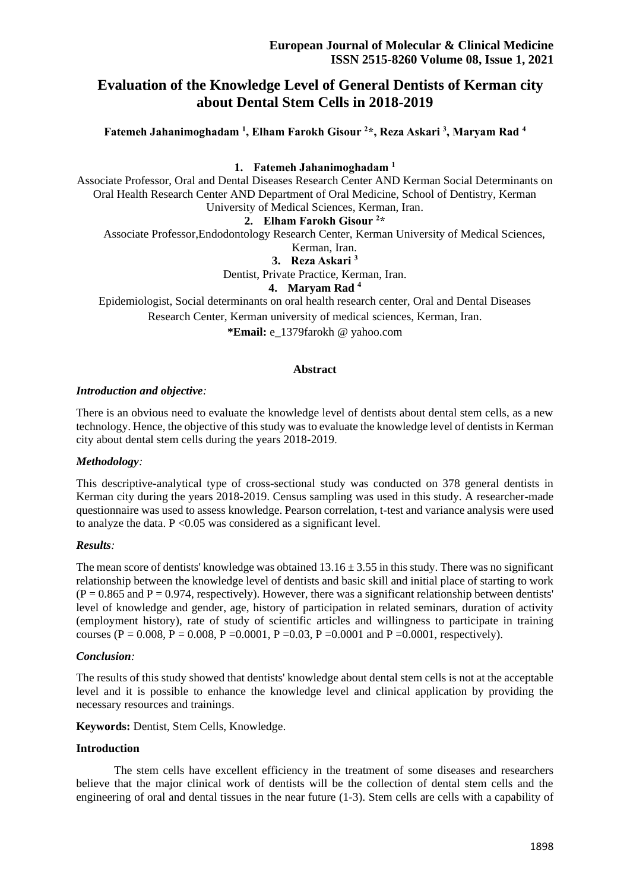# **Evaluation of the Knowledge Level of General Dentists of Kerman city about Dental Stem Cells in 2018-2019**

**Fatemeh Jahanimoghadam <sup>1</sup> , Elham Farokh Gisour <sup>2</sup>\*, Reza Askari <sup>3</sup> , Maryam Rad <sup>4</sup>**

### **1. Fatemeh Jahanimoghadam <sup>1</sup>**

Associate Professor, Oral and Dental Diseases Research Center AND Kerman Social Determinants on Oral Health Research Center AND Department of Oral Medicine, School of Dentistry, Kerman University of Medical Sciences, Kerman, Iran.

### **2. Elham Farokh Gisour <sup>2</sup>\***

Associate Professor,Endodontology Research Center, Kerman University of Medical Sciences,

#### Kerman, Iran.

**3. Reza Askari <sup>3</sup>**

Dentist, Private Practice, Kerman, Iran.

### **4. Maryam Rad <sup>4</sup>**

Epidemiologist, Social determinants on oral health research center, Oral and Dental Diseases Research Center, Kerman university of medical sciences, Kerman, Iran.

**\*Email:** e\_1379farokh @ yahoo.com

# **Abstract**

### *Introduction and objective:*

There is an obvious need to evaluate the knowledge level of dentists about dental stem cells, as a new technology. Hence, the objective of this study was to evaluate the knowledge level of dentists in Kerman city about dental stem cells during the years 2018-2019.

# *Methodology:*

This descriptive-analytical type of cross-sectional study was conducted on 378 general dentists in Kerman city during the years 2018-2019. Census sampling was used in this study. A researcher-made questionnaire was used to assess knowledge. Pearson correlation, t-test and variance analysis were used to analyze the data.  $P \le 0.05$  was considered as a significant level.

### *Results:*

The mean score of dentists' knowledge was obtained  $13.16 \pm 3.55$  in this study. There was no significant relationship between the knowledge level of dentists and basic skill and initial place of starting to work  $(P = 0.865$  and  $P = 0.974$ , respectively). However, there was a significant relationship between dentists' level of knowledge and gender, age, history of participation in related seminars, duration of activity (employment history), rate of study of scientific articles and willingness to participate in training courses (P = 0.008, P = 0.008, P = 0.0001, P = 0.03, P = 0.0001 and P = 0.0001, respectively).

# *Conclusion:*

The results of this study showed that dentists' knowledge about dental stem cells is not at the acceptable level and it is possible to enhance the knowledge level and clinical application by providing the necessary resources and trainings.

**Keywords:** Dentist, Stem Cells, Knowledge.

### **Introduction**

 The stem cells have excellent efficiency in the treatment of some diseases and researchers believe that the major clinical work of dentists will be the collection of dental stem cells and the engineering of oral and dental tissues in the near future (1-3). Stem cells are cells with a capability of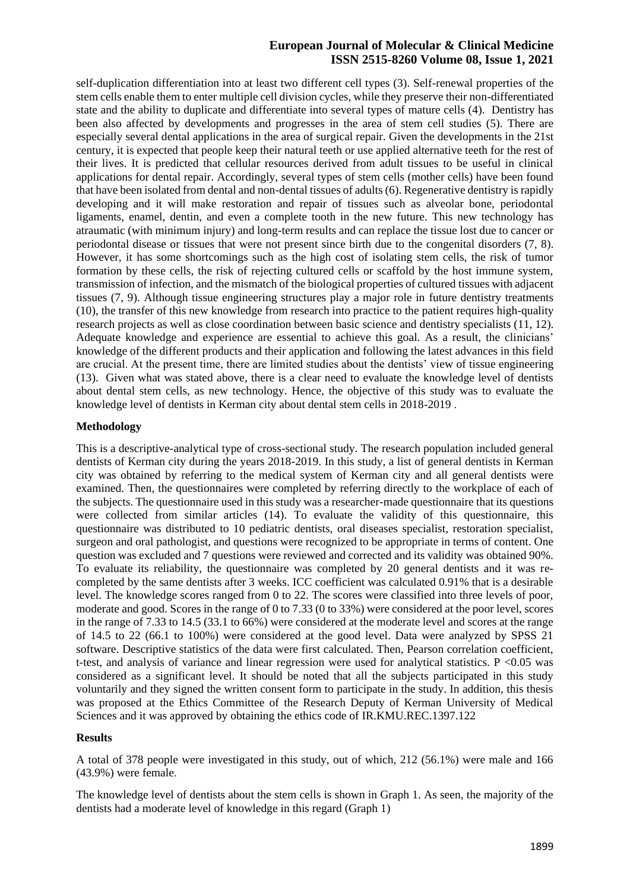# **European Journal of Molecular & Clinical Medicine ISSN 2515-8260 Volume 08, Issue 1, 2021**

self-duplication differentiation into at least two different cell types (3). Self-renewal properties of the stem cells enable them to enter multiple cell division cycles, while they preserve their non-differentiated state and the ability to duplicate and differentiate into several types of mature cells (4). Dentistry has been also affected by developments and progresses in the area of stem cell studies (5). There are especially several dental applications in the area of surgical repair. Given the developments in the 21st century, it is expected that people keep their natural teeth or use applied alternative teeth for the rest of their lives. It is predicted that cellular resources derived from adult tissues to be useful in clinical applications for dental repair. Accordingly, several types of stem cells (mother cells) have been found that have been isolated from dental and non-dental tissues of adults (6). Regenerative dentistry is rapidly developing and it will make restoration and repair of tissues such as alveolar bone, periodontal ligaments, enamel, dentin, and even a complete tooth in the new future. This new technology has atraumatic (with minimum injury) and long-term results and can replace the tissue lost due to cancer or periodontal disease or tissues that were not present since birth due to the congenital disorders (7, 8). However, it has some shortcomings such as the high cost of isolating stem cells, the risk of tumor formation by these cells, the risk of rejecting cultured cells or scaffold by the host immune system, transmission of infection, and the mismatch of the biological properties of cultured tissues with adjacent tissues (7, 9). Although tissue engineering structures play a major role in future dentistry treatments (10), the transfer of this new knowledge from research into practice to the patient requires high-quality research projects as well as close coordination between basic science and dentistry specialists (11, 12). Adequate knowledge and experience are essential to achieve this goal. As a result, the clinicians' knowledge of the different products and their application and following the latest advances in this field are crucial. At the present time, there are limited studies about the dentists' view of tissue engineering (13). Given what was stated above, there is a clear need to evaluate the knowledge level of dentists about dental stem cells, as new technology. Hence, the objective of this study was to evaluate the knowledge level of dentists in Kerman city about dental stem cells in 2018-2019 .

### **Methodology**

This is a descriptive-analytical type of cross-sectional study. The research population included general dentists of Kerman city during the years 2018-2019. In this study, a list of general dentists in Kerman city was obtained by referring to the medical system of Kerman city and all general dentists were examined. Then, the questionnaires were completed by referring directly to the workplace of each of the subjects. The questionnaire used in this study was a researcher-made questionnaire that its questions were collected from similar articles (14). To evaluate the validity of this questionnaire, this questionnaire was distributed to 10 pediatric dentists, oral diseases specialist, restoration specialist, surgeon and oral pathologist, and questions were recognized to be appropriate in terms of content. One question was excluded and 7 questions were reviewed and corrected and its validity was obtained 90%. To evaluate its reliability, the questionnaire was completed by 20 general dentists and it was recompleted by the same dentists after 3 weeks. ICC coefficient was calculated 0.91% that is a desirable level. The knowledge scores ranged from 0 to 22. The scores were classified into three levels of poor, moderate and good. Scores in the range of 0 to 7.33 (0 to 33%) were considered at the poor level, scores in the range of 7.33 to 14.5 (33.1 to 66%) were considered at the moderate level and scores at the range of 14.5 to 22 (66.1 to 100%) were considered at the good level. Data were analyzed by SPSS 21 software. Descriptive statistics of the data were first calculated. Then, Pearson correlation coefficient, t-test, and analysis of variance and linear regression were used for analytical statistics. P <0.05 was considered as a significant level. It should be noted that all the subjects participated in this study voluntarily and they signed the written consent form to participate in the study. In addition, this thesis was proposed at the Ethics Committee of the Research Deputy of Kerman University of Medical Sciences and it was approved by obtaining the ethics code of IR.KMU.REC.1397.122

# **Results**

A total of 378 people were investigated in this study, out of which, 212 (56.1%) were male and 166 (43.9%) were female.

The knowledge level of dentists about the stem cells is shown in Graph 1. As seen, the majority of the dentists had a moderate level of knowledge in this regard (Graph 1)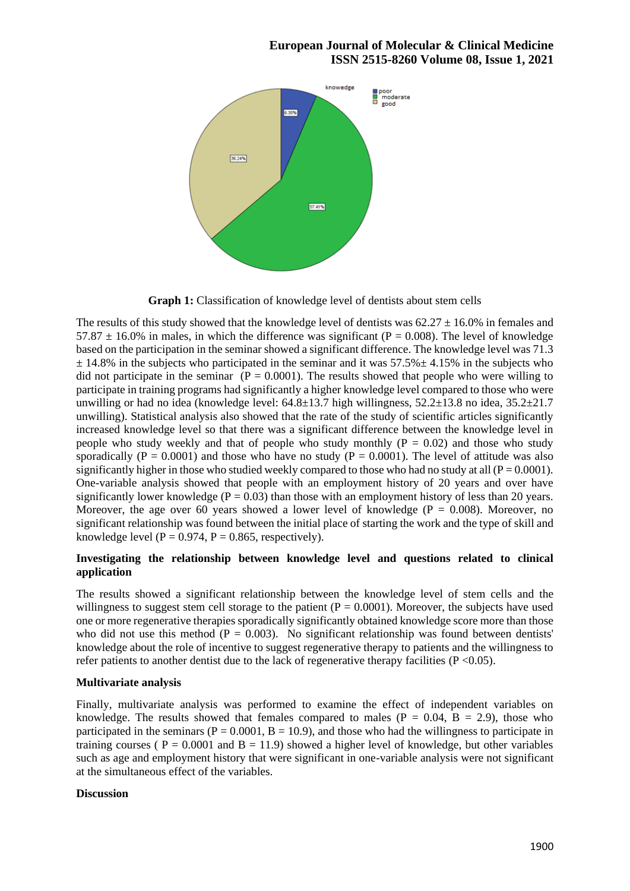# **European Journal of Molecular & Clinical Medicine ISSN 2515-8260 Volume 08, Issue 1, 2021**



**Graph 1:** Classification of knowledge level of dentists about stem cells

The results of this study showed that the knowledge level of dentists was  $62.27 \pm 16.0\%$  in females and 57.87  $\pm$  16.0% in males, in which the difference was significant (P = 0.008). The level of knowledge based on the participation in the seminar showed a significant difference. The knowledge level was 71.3  $\pm$  14.8% in the subjects who participated in the seminar and it was 57.5% $\pm$  4.15% in the subjects who did not participate in the seminar  $(P = 0.0001)$ . The results showed that people who were willing to participate in training programs had significantly a higher knowledge level compared to those who were unwilling or had no idea (knowledge level:  $64.8\pm13.7$  high willingness,  $52.2\pm13.8$  no idea,  $35.2\pm21.7$ unwilling). Statistical analysis also showed that the rate of the study of scientific articles significantly increased knowledge level so that there was a significant difference between the knowledge level in people who study weekly and that of people who study monthly  $(P = 0.02)$  and those who study sporadically ( $P = 0.0001$ ) and those who have no study ( $P = 0.0001$ ). The level of attitude was also significantly higher in those who studied weekly compared to those who had no study at all  $(P = 0.0001)$ . One-variable analysis showed that people with an employment history of 20 years and over have significantly lower knowledge ( $P = 0.03$ ) than those with an employment history of less than 20 years. Moreover, the age over 60 years showed a lower level of knowledge ( $P = 0.008$ ). Moreover, no significant relationship was found between the initial place of starting the work and the type of skill and knowledge level ( $P = 0.974$ ,  $P = 0.865$ , respectively).

# **Investigating the relationship between knowledge level and questions related to clinical application**

The results showed a significant relationship between the knowledge level of stem cells and the willingness to suggest stem cell storage to the patient ( $P = 0.0001$ ). Moreover, the subjects have used one or more regenerative therapies sporadically significantly obtained knowledge score more than those who did not use this method ( $P = 0.003$ ). No significant relationship was found between dentists' knowledge about the role of incentive to suggest regenerative therapy to patients and the willingness to refer patients to another dentist due to the lack of regenerative therapy facilities  $(P < 0.05)$ .

# **Multivariate analysis**

Finally, multivariate analysis was performed to examine the effect of independent variables on knowledge. The results showed that females compared to males  $(P = 0.04, B = 2.9)$ , those who participated in the seminars ( $P = 0.0001$ ,  $B = 10.9$ ), and those who had the willingness to participate in training courses ( $P = 0.0001$  and  $B = 11.9$ ) showed a higher level of knowledge, but other variables such as age and employment history that were significant in one-variable analysis were not significant at the simultaneous effect of the variables.

# **Discussion**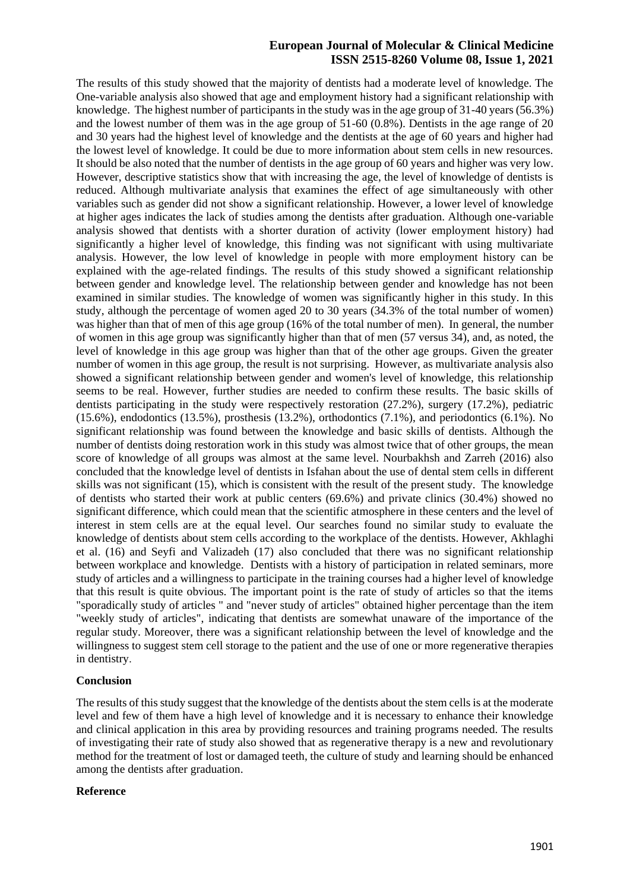# **European Journal of Molecular & Clinical Medicine ISSN 2515-8260 Volume 08, Issue 1, 2021**

The results of this study showed that the majority of dentists had a moderate level of knowledge. The One-variable analysis also showed that age and employment history had a significant relationship with knowledge. The highest number of participants in the study was in the age group of 31-40 years (56.3%) and the lowest number of them was in the age group of 51-60 (0.8%). Dentists in the age range of 20 and 30 years had the highest level of knowledge and the dentists at the age of 60 years and higher had the lowest level of knowledge. It could be due to more information about stem cells in new resources. It should be also noted that the number of dentists in the age group of 60 years and higher was very low. However, descriptive statistics show that with increasing the age, the level of knowledge of dentists is reduced. Although multivariate analysis that examines the effect of age simultaneously with other variables such as gender did not show a significant relationship. However, a lower level of knowledge at higher ages indicates the lack of studies among the dentists after graduation. Although one-variable analysis showed that dentists with a shorter duration of activity (lower employment history) had significantly a higher level of knowledge, this finding was not significant with using multivariate analysis. However, the low level of knowledge in people with more employment history can be explained with the age-related findings. The results of this study showed a significant relationship between gender and knowledge level. The relationship between gender and knowledge has not been examined in similar studies. The knowledge of women was significantly higher in this study. In this study, although the percentage of women aged 20 to 30 years (34.3% of the total number of women) was higher than that of men of this age group (16% of the total number of men). In general, the number of women in this age group was significantly higher than that of men (57 versus 34), and, as noted, the level of knowledge in this age group was higher than that of the other age groups. Given the greater number of women in this age group, the result is not surprising. However, as multivariate analysis also showed a significant relationship between gender and women's level of knowledge, this relationship seems to be real. However, further studies are needed to confirm these results. The basic skills of dentists participating in the study were respectively restoration (27.2%), surgery (17.2%), pediatric  $(15.6\%)$ , endodontics  $(13.5\%)$ , prosthesis  $(13.2\%)$ , orthodontics  $(7.1\%)$ , and periodontics  $(6.1\%)$ . No significant relationship was found between the knowledge and basic skills of dentists. Although the number of dentists doing restoration work in this study was almost twice that of other groups, the mean score of knowledge of all groups was almost at the same level. Nourbakhsh and Zarreh (2016) also concluded that the knowledge level of dentists in Isfahan about the use of dental stem cells in different skills was not significant (15), which is consistent with the result of the present study. The knowledge of dentists who started their work at public centers (69.6%) and private clinics (30.4%) showed no significant difference, which could mean that the scientific atmosphere in these centers and the level of interest in stem cells are at the equal level. Our searches found no similar study to evaluate the knowledge of dentists about stem cells according to the workplace of the dentists. However, Akhlaghi et al. (16) and Seyfi and Valizadeh (17) also concluded that there was no significant relationship between workplace and knowledge. Dentists with a history of participation in related seminars, more study of articles and a willingness to participate in the training courses had a higher level of knowledge that this result is quite obvious. The important point is the rate of study of articles so that the items "sporadically study of articles " and "never study of articles" obtained higher percentage than the item "weekly study of articles", indicating that dentists are somewhat unaware of the importance of the regular study. Moreover, there was a significant relationship between the level of knowledge and the willingness to suggest stem cell storage to the patient and the use of one or more regenerative therapies in dentistry.

### **Conclusion**

The results of this study suggest that the knowledge of the dentists about the stem cells is at the moderate level and few of them have a high level of knowledge and it is necessary to enhance their knowledge and clinical application in this area by providing resources and training programs needed. The results of investigating their rate of study also showed that as regenerative therapy is a new and revolutionary method for the treatment of lost or damaged teeth, the culture of study and learning should be enhanced among the dentists after graduation.

### **Reference**